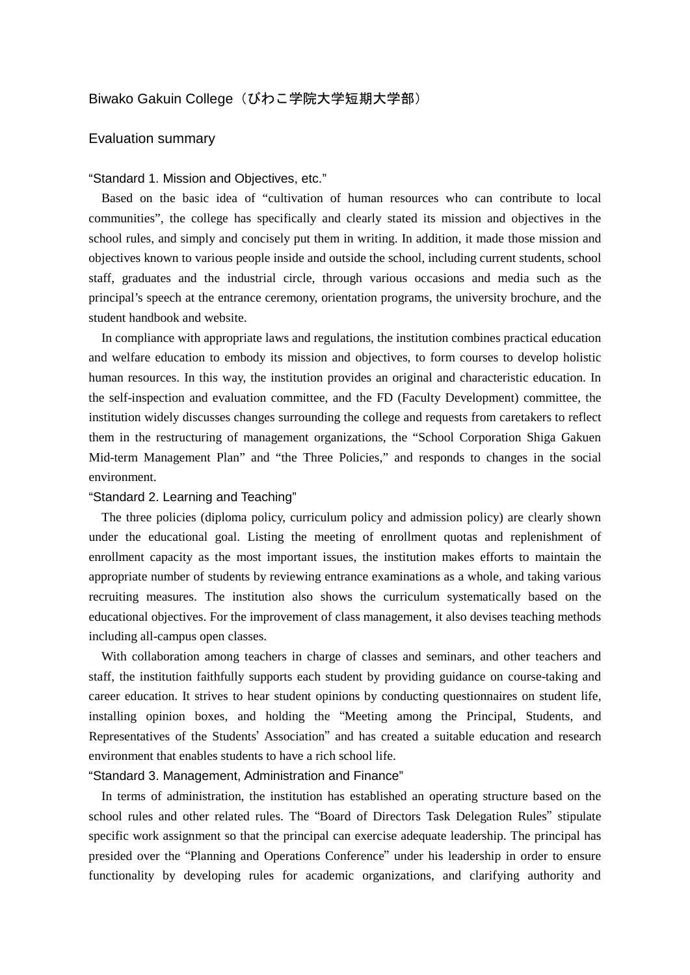# Biwako Gakuin College (びわこ学院大学短期大学部)

## Evaluation summary

#### "Standard 1. Mission and Objectives, etc."

Based on the basic idea of "cultivation of human resources who can contribute to local communities", the college has specifically and clearly stated its mission and objectives in the school rules, and simply and concisely put them in writing. In addition, it made those mission and objectives known to various people inside and outside the school, including current students, school staff, graduates and the industrial circle, through various occasions and media such as the principal's speech at the entrance ceremony, orientation programs, the university brochure, and the student handbook and website.

In compliance with appropriate laws and regulations, the institution combines practical education and welfare education to embody its mission and objectives, to form courses to develop holistic human resources. In this way, the institution provides an original and characteristic education. In the self-inspection and evaluation committee, and the FD (Faculty Development) committee, the institution widely discusses changes surrounding the college and requests from caretakers to reflect them in the restructuring of management organizations, the "School Corporation Shiga Gakuen Mid-term Management Plan" and "the Three Policies," and responds to changes in the social environment.

#### "Standard 2. Learning and Teaching"

The three policies (diploma policy, curriculum policy and admission policy) are clearly shown under the educational goal. Listing the meeting of enrollment quotas and replenishment of enrollment capacity as the most important issues, the institution makes efforts to maintain the appropriate number of students by reviewing entrance examinations as a whole, and taking various recruiting measures. The institution also shows the curriculum systematically based on the educational objectives. For the improvement of class management, it also devises teaching methods including all-campus open classes.

With collaboration among teachers in charge of classes and seminars, and other teachers and staff, the institution faithfully supports each student by providing guidance on course-taking and career education. It strives to hear student opinions by conducting questionnaires on student life, installing opinion boxes, and holding the "Meeting among the Principal, Students, and Representatives of the Students' Association" and has created a suitable education and research environment that enables students to have a rich school life.

### "Standard 3. Management, Administration and Finance"

In terms of administration, the institution has established an operating structure based on the school rules and other related rules. The "Board of Directors Task Delegation Rules" stipulate specific work assignment so that the principal can exercise adequate leadership. The principal has presided over the "Planning and Operations Conference" under his leadership in order to ensure functionality by developing rules for academic organizations, and clarifying authority and